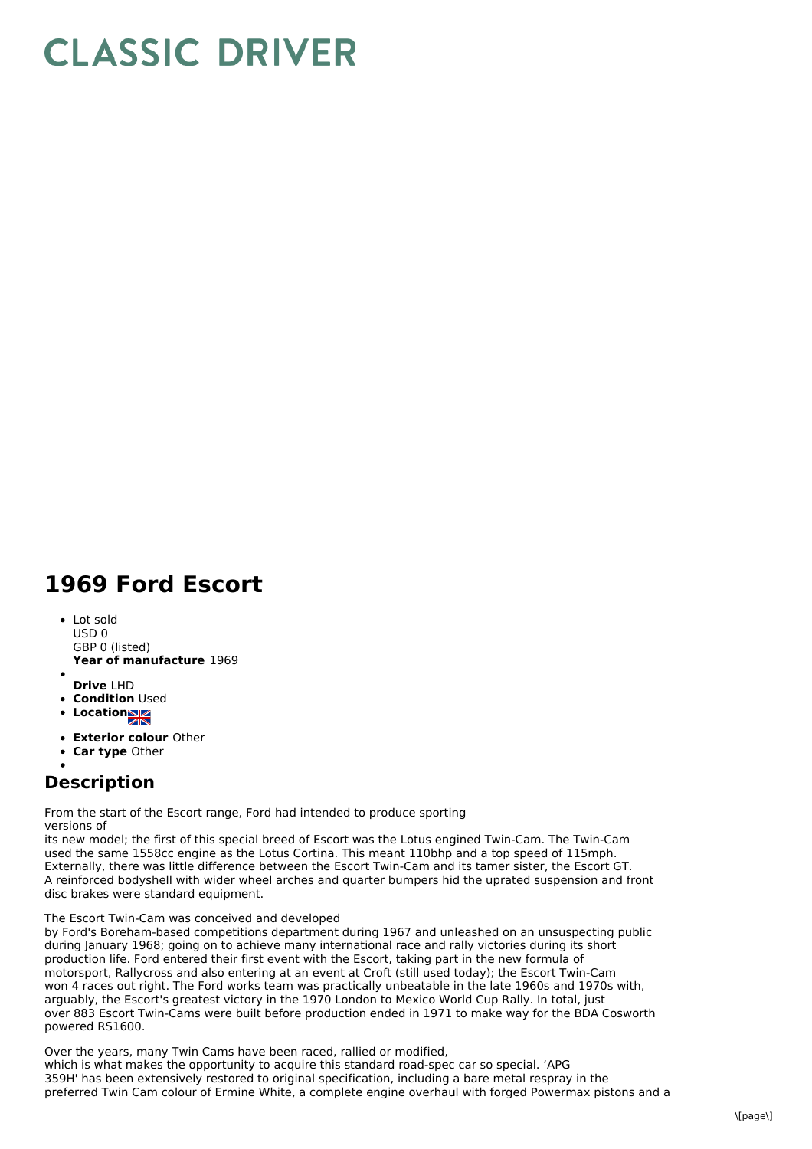## **CLASSIC DRIVER**

## **1969 Ford Escort**

**Year of manufacture** 1969 Lot sold USD 0 GBP 0 (listed)

- **Drive** LHD
- **Condition Used**
- Location
- **Exterior colour** Other
- **Car type** Other

## **Description**

From the start of the Escort range, Ford had intended to produce sporting versions of

its new model; the first of this special breed of Escort was the Lotus engined Twin-Cam. The Twin-Cam used the same 1558cc engine as the Lotus Cortina. This meant 110bhp and a top speed of 115mph. Externally, there was little difference between the Escort Twin-Cam and its tamer sister, the Escort GT. A reinforced bodyshell with wider wheel arches and quarter bumpers hid the uprated suspension and front disc brakes were standard equipment.

## The Escort Twin-Cam was conceived and developed

by Ford's Boreham-based competitions department during 1967 and unleashed on an unsuspecting public during January 1968; going on to achieve many international race and rally victories during its short production life. Ford entered their first event with the Escort, taking part in the new formula of motorsport, Rallycross and also entering at an event at Croft (still used today); the Escort Twin-Cam won 4 races out right. The Ford works team was practically unbeatable in the late 1960s and 1970s with, arguably, the Escort's greatest victory in the 1970 London to Mexico World Cup Rally. In total, just over 883 Escort Twin-Cams were built before production ended in 1971 to make way for the BDA Cosworth powered RS1600.

Over the years, many Twin Cams have been raced, rallied or modified, which is what makes the opportunity to acquire this standard road-spec car so special. 'APG 359H' has been extensively restored to original specification, including a bare metal respray in the preferred Twin Cam colour of Ermine White, a complete engine overhaul with forged Powermax pistons and a